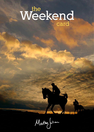# **Weekend the card**

Marten Julian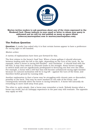

# **Marten invites readers to ask questions about any of the views expressed in the Weekend Card. Please indicate in your email or letter to whom your query is addressed and we will try and publish as many as space allows (rebecca@martenjulian.com or marten@martenjulian.com).**

# **The Podium Question**

**Question:** A reader has asked why it is that certain horses appear to have a preference for racing right or left-handed.

*Marten writes:*

A variety of explanations have been put forward for this.

The first relates to the horse's 'lead' foot. When a horse gallops it should alternate between leading with the left to the right, depending on the turn of the track. So, for example, when a horse is racing left-handed – anti-clockwise – it should lead with the left foot. It may then switch or alternate leads in the straight. Some horses struggle to switch leads and are significantly predisposed to favouring one foot over the other. For example, a horse with a left-foot bias will become unbalanced racing right-handed because it's natural inclination will be to lug left – against the turn of the bend, and therefore forfeit ground by running wide.

Another explanation is that a horse may be struggling with chronic pain or discomfort, possibly in the back. This may be more marked on one side of the horse, and consequently intensify when the horse is racing towards it. A horse will naturally do everything to move itself away from pain.

The other is, quite simply, that a horse may remember a track. Nobody knows what a horse can recall, but an unhappy experience in the past may still resonate. The opposite may apply as well.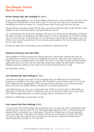# **The Sleeper Section Marten Julian**

# **Doctor Harper (8yr Bay Gelding) 2nd 14/1,**

It was especially galling to see Doctor Harper fail by just a short-head to catch Tour Des Champs at Cheltenham on New Year's Day. To my eyes the nine-year-old was always travelling well but the winner is a useful horse when fresh and this was his day.

Doctor Harper has been raised 3lb for this, and that would put him at the bottom of the weights in one of the big spring staying handicap chases.

He is entered for two races this weekend. The first is at *Warwick on Saturday (3.35)* and the other at *Kelso on Sunday (2.40).* The former is over an extended 3m 5f and the Kelso race is a mile shorter at around 2m 5f. I would expect him to favour the longer race, for which he is currently priced at  $8/1$  in the ante-post markets. We need to stay with him for the time being.

*Entered at Warwick on Saturday (3.35) and Kelso on Sunday (2.40).*

# **Ifubelieveindreams (2yr Bay Filly)**

This daughter of Iffraaj missed the break and was a little keen towards the rear of the field on her racecourse debut at Lingfield last month. She then came back on the bridle and was travelling well on the final turn only to run into trouble and find herself tightened up on the rails. But for that she would have made the first three. From her pedigree and the evidence from this run she will be well suited to a mile.

*No immediate entries.*

# **Just Minded (5yr Bay Gelding) 3rd 7/1,**

Just Minded shaped very well on his hurdling debut at Wetherby over Christmas, keeping on steadily in the final quarter mile to finish a never-nearer third of 14 to the more experienced Craggaknock. This was good form, with the even-money favourite Azzuri and the Ayr winner Master Of Finance in second and fourth.

Just Minded has an entry for an extended 2m 3f NH novices' hurdle at *Wetherby on Saturday (12.30)*. He is bred to relish the step up in trip and I expect him to go close here before progressing into a useful staying chaser in seasons to come.

*Entered at Wetherby on Saturday (12.30).*

# **Lost Legend (9yr Bay Gelding) L 8/1,**

I am not sure how much longer we should give this 10-year-old. He is undeniably well treated on his current mark of 120, having dropped 5lb from 125 to 120 following his dismal effort at Leicester over Christmas. The son of Winged Love virtually downed tools from flag-fall, a situation that Richie McLernon was quick to accept. This time 12 months ago Lost Legend was running into the frame in valuable handicaps at Cheltenham from marks of 142 and 144.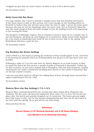I suggest we give him one more chance at what is sure to be a decent price.

*No immediate entries.*

# **Molly Carew (5yr Bay Mare)**

You may wonder why I want to include a maiden mare that has finished well beaten in her three starts to date in this section, but I saw enough on her hurdling debut at Fontwell to believe that she will win races when the time is right. I stress the latter point because she may be one for handicaps after two more runs, but at Fontwell I liked the way she made progress from the back straight to join the leading bunch until appearing to tire turning for home.

The daughter of Midnight Legend, who is related to winners, had run in a similar way in her two bumpers, showing up until fading out of contention. Molly Carew looks destined for a low mark in handicaps and could be one to have on your side in the spring. Neil Mulholland will have a plan for her.

*No immediate entries.*

# **Pop Rockstar (5yr Brown Gelding)**

Jonjo O'Neill is a dab hand at getting his moderate horses handicapped to win, and there is no denying the promise this son of Flemensfirth has shown in his last three runs over hurdles.

Following a sixth of 13 on his sole start for Adrian Maguire in an Irish bumper in May, he made his debut for this yard in a maiden hurdle at Fontwell in November. Pulled up on that occasion, he has since shaped well at Plumpton, Ffos Las and Chepstow, notably catching the eye under considerate handling when fourth to the useful Constantine Bay on the last-named occasion.

I am not sure what mark he will get but taking lines of form through those around him I expect something in the low 120s.

*No immediate entries.*

# **Western Wave (4yr Bay Gelding) L 7/2, L 9/2**

Western Wave underperformed for the second time when tailed off at Chepstow last weekend. The five-year-old was well supported there, from 12/1 to 9/2, but he lost his place after the fourth and quickly dropped out of contention. The heavy ground might have had a part to play, but he has become disappointing and may not be seen back to his best until the spring. He is best left for the time being.

*Removed from the list.*

# **Selections**

# **Doctor Harper (3.35 Warwick Saturday and 2.40 Kelso Sunday)**

# **Just Minded (12.30 Wetherby Saturday)**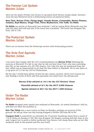# **The Premier List Update Marten Julian**

*Here are the dozen Premier List horses in my latest Dark Horses Jumps Guide. Runners since the last Weekend Card or forthcoming entries are featured below.*

# **Beat That, Buveur D'Air, Flying Angel, Cloudy Dream, Connetable, Hester Flemen, Jenkins, Kayf Blanco, Otago Trail, Three Musketeers, Two Taffs, Un Noble**

**Un Noble** ran poorly at Newcastle last weekend. I will be seeing Nicky Richards over the next few days and will ask him if the horse has a problem. The horse has dropped 2lb, from 128 to 126.

# **The Postscript Update Marten Julian**

There are no horses from the Postscript service with forthcoming entries.

# **The Ante-Post Agenda Marten Julian**

I am more than happy with the JLT recommendation for **Buveur D'Air** following his success at Warwick. It's fair to say that he did not beat Gino Trail, who was conceding him 6lb, in the manner of a 30/100 chance, but I like the way he quickened from the last, albeit not as impressively as he had the time before at Haydock. He is now down to a top price of 7/1 for the JLT at Cheltenham.

By the way I would have plenty of time for the runner-up here. Kerry Lee's horses are just finding a touch of form and this specialist two-miler loves the soft ground.

**Buveur D'Air advised at 14/1 for the JLT Novices' Chase** 

**Churchill advised at 8/1 for the 2017 2,000 Guineas**

**Spatial advised at 20/1 for the 2017 1,000 Guineas**

# **Under The Radar Marten Julian**

**Un Noble** dropped away tamely last weekend at Newcastle. As stated elsewhere I will try and find out what the problem is.

**Eric The Third** was a non-runner at Naas on Sunday, perhaps on account of the ground. He will go close one day having dropped a further 2lb from 86 to 84.

**Conquer Gold** is entered for an extended 2m 7f novices' handicap chase from a mark of 119 at *Kelso on Sunday (1.40).* She was dropped 1lb despite running well last time at Ayr and I expect her to prove a better performer over fences. Let's keep close tabs on her this weekend, both in the market and the race itself.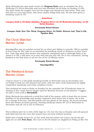Nicky Richards has also made entries for **Progress Drive** over at extended 2m 3f at *Wetherby (12.30)* on Saturday and over and extended 2m 6f *Kelso on Sunday (12.40).* The latter looks the tougher race but the longer trip should suit him better. Take note that this is a very lazy horse, who never makes things look easy. He has been given a handicap mark of 127.

### **Selections**

# **Conquer Gold (1.40 Kelso Sunday), Progress Drive (12.30 Wetherby Saturday, 12.40 Kelso Sunday),**

# **Previously Noted Horses**

# **Conquer Gold, Eric The Third, Progress Drive, Un Noble, Reivers Lad, That's Life, Upsilon Bleu**

# **The Clock Watcher Marten Julian**

Knockgraffon was yet another second for us when just failing to concede 19lb to outsider of four Icing On The Cake in an extended 2m handicap chase at Newbury on New Year's Eve. Time may show that winner was relatively unexposed and so although likely to be raised 4 or 5lb, I still want us to stay with this six-year-old. He is very consistent, having finished in the first three in all but one of his 10 lifetime starts.

### **Previously Noted Horses**

# **Knockgraffon**

# **The Weekend Action Marten Julian**

I had to resort to a low-grade handicap hurdle at Newcastle and an all-weather race on Friday to find you two winners last week, with the main cards dominated by highly competitive handicaps and tricky condition events.

This weekend we head to Kelso on Sunday for the extended 2m 5f handicap chase on *Sunday (2.40)*. I hope Doctor Harper opts for Warwick because in his absence I suggest we take a close look at **Bernadelli**.

Nicky Richards has endured a torrid first half of the season, with at least five on-course fatalities to my knowledge and another expensive store horse lost at home. He is due for a change of fortune, and Bernadelli now has plenty in his favour. He struck winning form last season on heavy ground, winning handicap chases off 125 at Newcastle in December and off 132 at Ayr in February.

Three defeats later he is still a little high on 133, but the trip on Sunday and soft ground look ideal and his two runs this season have not been without promise.

Saleh was a handy winner for us last week and his trainer Lee Carter can do the job again for us with **Free Zone**, who runs in the 6f claimer at *Lingfield on Friday (2.00).* The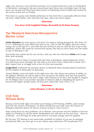eight-year-old was a very shrewd purchase out of Jamie Osborne's yard at Chelmsford in November, winning for his new connections back there just a fortnight later. He has since run second and third from three starts in handicaps and he looks well-treated by the terms of this race on Friday.

Free Zone is a gutsy and reliable performer at this level who is especially effective from the front. Adam Kirby, who rode him last time, takes the mount again.

### **Selections**

# **Free Zone (2.00 Lingfield Friday), Bernadelli (2.40 Kelso Sunday)**

# **The Weekend Selections Retrospective Marten Julian**

**Little Glenshee** has been given a bit more of a chance having dropped by 4lb, from 121 to 117, following her poor effort last time at Ayr. This is still 7lb higher than her chase rating, but at the age of 11 and with her loss of form it may be time for her to get to the paddocks, where she could be covered this spring. She has an entry back over two miles at *Ayr on Monday (1.40).*

Last week was a good one for my section, with my sole two selections **Saleh** and Lough Kent both winning.

The former won a Class 5 in good style last time at Kempton, appreciating the return to a mile from seven furlongs. He was able to run there from a mark 2lb in hand, but I don't expect him to struggle with a rise of a few more pounds.

**Lough Kent** confirmed the promise shown at Haydock when beating Island Confusion by five lengths at Newcastle on Saturday.

Jimmy Moffatt never lost faith in the eight-year-old, who shows him plenty of ability on the gallops. Whether he will be able to ever recapture the ability that saw him perform creditably from marks in the mid to high 130s remains to be seen, but bought in August for 10,500gns this is yet another example of Jimmy's skill at rekindling the spirit in horses from higher-profile yards. He has been raised 6lb, from 108 to 114.

### **Selections**

# **Little Glenshee (1.40 Ayr Monday)**

# **Irish Eyes William Reilly**

Racing is full of talk right now about such things as ITV Racing, FOBTs, prize-money, and now the closure of Kempton. As Nicky Henderson has said, what the closure of Kempton indicates about the future of jump racing is a key concern.

Irish racing faces its own problems. As in Britain, racecourses and the holders of picture rights are starting to call the shots. Bookmakers are still seen as the anti-hero - more so in Britain - as if revenge for some perceived or real past wrongs must be applied.

By the way, ITV Racing is not universally available in Ireland. If you are on package provided by EIR, you can't get it so are reliant upon whichever ITV broadcasts TV3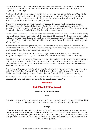chooses to show. If you have a Sky package, you can access ITV via 'Other Channels' but, I believe, cannot record channels this way. It's all rather disappointing and, hopefully, will change.

Racing's big challenge is to engage with customers, old and potentially new. To do this, as with any business, you need to understand your customer. Channel 4, for all its technical excellence, never seemed fully to get over that hurdle and went the way of, well, Kempton. We hope for better going forward.

Whatever frustrations lie within the above areas, the quality of horseracing at our disposal is superb. Gordon Elliott rates Death Duty as his best novice hurdler. He'll make a three-mile chaser in time and his stamina was seen to good effect when winning the Grade 1 Lawlor Hotels Novice Hurdle at Naas last Sunday.

My selection for the race, Augusta Kate (remarkably, available at 8/1 earlier in the week) was challenging him when falling at the last flight. Thankfully, both she and Ruby Walsh walked away unscathed from the mishap. It was inexperience, I would say, that caused her to fall. It's a big step up from a maiden hurdle to a Grade 1 race, but she clearly has a lot of ability.

A horse that I'm removing from my list is Squouateur as, once again, he showed little over fences last Sunday. I felt that he was the type for a handicap but you would need to know more than I do to be waiting on him now.

Punchestown stages the Grade 2 Moscow Flyer Novice Hurdle on Saturday and Fairyhouse stages the €100,000 Dan Moore Memorial Handicap Chase on Sunday.

Dan Moore is one of the sport's greats. A champion jockey, he then won the Cheltenham Gold Cup as a trainer with L'Escargot (twice) and the Aintree Grand National with the same horse in 1975, where he thwarted the great Red Rum's bid for a third-successive National win in Liverpool.

Dan's son Arthur could run Dandridge on Sunday and it would be no surprise if he ran well. However, I like Gordon Elliott's **Ball D'Arc**, who ran well at Leopardstown over Christmas despite being hampered after the last fence (2.30 Fairyhouse Sunday).

Willie Mullins may well run Blixt in the Punchestown finale on Saturday, a mares' bumper. She is a half-sister by Yeats to the great Hurricane Fly.

### **Selections**

# **Ball D'Arc (2.30 Fairyhouse)**

### **Previously Noted Horses**

### **Flat**

**Opt Out** – looks well-handicapped; seven furlongs or a mile would be his trip; **Complicit** - surely his time has come (next time out, at six or seven furlongs)

### **Jumps**

**Diamond King** (novice chaser; jumps well; will come into his own over three miles or more; probably a spring horse); **Bonny Kate** (could still be well handicapped in staying handicaps); **Campeador** (his luck has to change at some point; would have won easily at Fairyhouse last time but for falling); **Mick Jazz** (still on a decent mark for a two-mile or 2m4f handicap hurdle)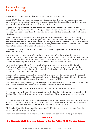# **Jodie's Jottings Jodie Standing**

Whilst I didn't find a winner last week, I felt we learnt a fair bit.

Espoir De Teillee was odds on based on his reputation, but he was too keen in the early stages which undoubtedly told towards the end of the race. However, his run was encouraging for a horse that is bred to excel with time.

Bigirononhiship is extremely one paced so I was worried when Sue Smith's wellhandicapped front-runner Smooth Stepper got first run on us, but he stayed on to finish second, well clear of the third. I believe he is capable at this level and I will be sticking with him.

I honestly think Charlemar hated the ground in the Tolworth. I don't like making excuses for horses, but his running action is far more attuned to a better surface. He was first off the bridle and Aidan Coleman didn't give him a hard time. He looks a spring horse, and knowing that he acts around Aintree, it wouldn't surprise me if he misses the Festival for a race at the Grand National meeting.

This week, a horse I have a lot of time for is Charlie Longsdon's **Our Kaempfer** *(3.15 Kempton Saturday).*

In my opinion, he has always been the sort who just falls short when it comes to competing in the big races, despite having plenty of ability. Since switching to chasing he has run creditably behind the likes of Rock The Kasbah and Clan Des Obeaux, but this race looks a good opportunity for him to record his first chase success.

He proved he has a liking for the track when winning over hurdles in 2015 and I think the step back up to three miles over fences is a plus. It was unfortunate that he unseated before the race had really begun in the Rowland Merrick last time out, but hopefully he can make amends here.

There's not too much rain on the forecast, but if that were to change then the ground could go against him. He wants a sound surface. If he has the ability I believe he does, then he should be able to take advantage of his mark of 138.

I will also be keeping a close eye on Silvergrove if he lines up. He was a horse I liked a lot last season but this time around his efforts have left a lot to be desired.

I hope to see **One For Arthur** in action at Warwick *(3.35 Warwick Saturday).*

As you may know, I made him my selection for the London National but he opted for the Becher Chase instead where he ran a very creditable fifth, never stronger than at the line.

The eight-year-old looks the type who is crying for a stamina-sapping trip and he'll carry a nice, low weight. A feature of his chases has been his fantastic jumping which bodes well for a track like Warwick, where the fences are notoriously tricky.

Obviously, it's a highly competitive race, but I'd like to stay loyal as I believe there is plenty more improvement in him.

I have him earmarked for a National in the future, so let's see how he gets on here.

# **Selections**

**Our Kaempfer (3.15 Kempton Saturday), One For Arthur (3.35 Warwick Saturday)**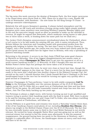# **The Weekend News Ian Carnaby**

The big news this week concerns the demise of Kempton Park, the first major racecourse to be closed down since Hurst Park in 1962. Plans are in place for a new, floodlit AW track at Newmarket, with Sandown - the new home for the King George VI Chase - to undergo extensive redevelopment.

Relatively few will mourn Kempton's passing. It always lacked atmosphere and the decision to lay an AW track and introduce evening racing under lights simply misfired. Kempton never came anywhere near matching Windsor's popular Monday nights and in the end the executive simply raced as often as possible to make up the shortfall in revenue. (It might be argued that Newcastle, where moderate racing seems to take place two or three times a week, is heading down the same path but we shall see.)

The Jockey Club's Kempton announcement overshadowed plans for Chelmsford, where a turf course is to be laid inside the existing AW one, with a casino introduced. Thus, Britain follows the American and Canadian model with guaranteed profits from the gaming side helping to bolster the racing. The last time I went to Century Downs in Calgary, only a few months ago, the casino was very busy indeed and clearly paid for the pacers (prize-money for modest fare far higher than in Britain), with only a sprinkling of punters watching outside.

Returning to the present, it occurs to me that Jonjo O'Neill has some good chances at Warwick on Saturday. One of my biggest disappointments last season came at Punchestown, where **Champagne At Tara** failed to get into the argument at all in a multi-runner handicap hurdle *(1.15 Warwick).* At first I thought this was not one of Robbie Power's better days but perhaps the horse takes a bit of knowing.

Switched to novice chases this term, he went very close at Ascot last time, though the word 'outbattled' appears in the close-up. That is a worry but he does most things pretty easily in his races and I shall give him another chance in the Edward Courage Cup, the second on the card. I should mention that I think Donald McCain's Ubaltique is the best handicapped horse in the race but he would be turning out again very quickly after a good second at Chepstow.

However Champagne At Tara performs, I want to be with stable-companion **Call To Order** in the Pertemps Qualifier over the extreme distance of 3m 2f *(2.25 Warwick).* Lightly raced, Call To Order did us a good turn at Cheltenham last time and has been raised 7lb for his pains. He still looks reasonably treated and Jonjo has won this race before, Join The Clan fairly hacking up two years ago.

The Pertemps is always a slight worry, with horses turning up just to get qualified and trainers trying to protect their handicap mark with the final in mind. Still, there is plenty to be said for winning while you can and I hope Call To Order, who was always travelling very easily indeed at Cheltenham, will follow up.

Venetia Williams is in good form and remains very much a 'Saturday' trainer these days. A few of her handicap chasers need plenty of cut, including **Houblon Des Obeaux**, who shares top weight in the Betfred Classic Chase over 3m 5f *(3.35 Warwick).* The fact that he was eventually beaten some way in third in the Coral Welsh National is not strictly relevant. He turned for home alongside Native River and was going just as well as the eventual winner but started to feel the strain soon afterwards. It was his seasonal reappearance, the ground having been too quick in the Hennessy at Newbury, and I thought it a splendid effort. Of course, the handicapper shows no mercy and each-way will have to be the call.